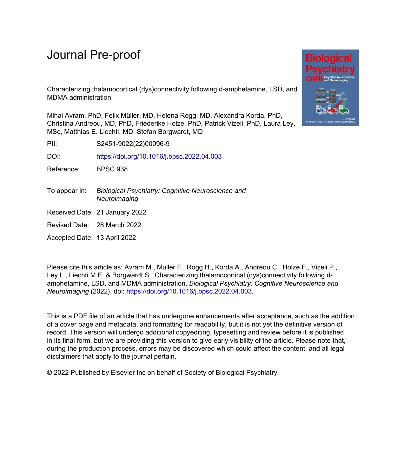# Journal Pre-proof



Characterizing thalamocortical (dys)connectivity following d-amphetamine, LSD, and MDMA administration

Mihai Avram, PhD, Felix Müller, MD, Helena Rogg, MD, Alexandra Korda, PhD, Christina Andreou, MD, PhD, Friederike Holze, PhD, Patrick Vizeli, PhD, Laura Ley, MSc, Matthias E. Liechti, MD, Stefan Borgwardt, MD

PII: S2451-9022(22)00096-9

DOI: <https://doi.org/10.1016/j.bpsc.2022.04.003>

Reference: BPSC 938

- To appear in: Biological Psychiatry: Cognitive Neuroscience and **Neuroimaging**
- Received Date: 21 January 2022

Revised Date: 28 March 2022

Accepted Date: 13 April 2022

Please cite this article as: Avram M., Müller F., Rogg H., Korda A., Andreou C., Holze F., Vizeli P., Ley L., Liechti M.E. & Borgwardt S., Characterizing thalamocortical (dys)connectivity following damphetamine, LSD, and MDMA administration, *Biological Psychiatry: Cognitive Neuroscience and Neuroimaging* (2022), doi: [https://doi.org/10.1016/j.bpsc.2022.04.003.](https://doi.org/10.1016/j.bpsc.2022.04.003)

This is a PDF file of an article that has undergone enhancements after acceptance, such as the addition of a cover page and metadata, and formatting for readability, but it is not yet the definitive version of record. This version will undergo additional copyediting, typesetting and review before it is published in its final form, but we are providing this version to give early visibility of the article. Please note that, during the production process, errors may be discovered which could affect the content, and all legal disclaimers that apply to the journal pertain.

© 2022 Published by Elsevier Inc on behalf of Society of Biological Psychiatry.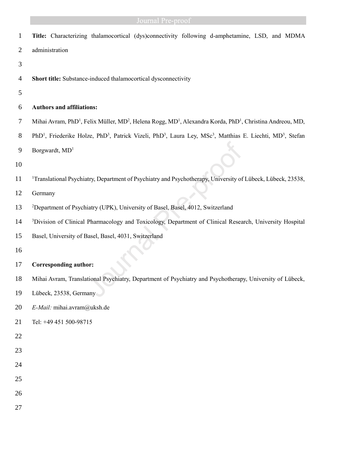# **Example 3 Sournal Pre-proof Sournal Pre-proof**

| $\mathbf{1}$   | Title: Characterizing thalamocortical (dys)connectivity following d-amphetamine, LSD, and MDMA                                                                         |  |  |  |  |  |  |  |
|----------------|------------------------------------------------------------------------------------------------------------------------------------------------------------------------|--|--|--|--|--|--|--|
| 2              | administration                                                                                                                                                         |  |  |  |  |  |  |  |
| 3              |                                                                                                                                                                        |  |  |  |  |  |  |  |
| $\overline{4}$ | Short title: Substance-induced thalamocortical dysconnectivity                                                                                                         |  |  |  |  |  |  |  |
| 5              |                                                                                                                                                                        |  |  |  |  |  |  |  |
| 6              | <b>Authors and affiliations:</b>                                                                                                                                       |  |  |  |  |  |  |  |
| 7              | Mihai Avram, PhD <sup>1</sup> , Felix Müller, MD <sup>2</sup> , Helena Rogg, MD <sup>1</sup> , Alexandra Korda, PhD <sup>1</sup> , Christina Andreou, MD,              |  |  |  |  |  |  |  |
| 8              | PhD <sup>1</sup> , Friederike Holze, PhD <sup>3</sup> , Patrick Vizeli, PhD <sup>3</sup> , Laura Ley, MSc <sup>3</sup> , Matthias E. Liechti, MD <sup>3</sup> , Stefan |  |  |  |  |  |  |  |
| 9              | Borgwardt, $MD1$                                                                                                                                                       |  |  |  |  |  |  |  |
| 10             |                                                                                                                                                                        |  |  |  |  |  |  |  |
| 11             | <sup>1</sup> Translational Psychiatry, Department of Psychiatry and Psychotherapy, University of Lübeck, Lübeck, 23538,                                                |  |  |  |  |  |  |  |
| 12             | Germany                                                                                                                                                                |  |  |  |  |  |  |  |
| 13             | <sup>2</sup> Department of Psychiatry (UPK), University of Basel, Basel, 4012, Switzerland                                                                             |  |  |  |  |  |  |  |
| 14             | <sup>3</sup> Division of Clinical Pharmacology and Toxicology, Department of Clinical Research, University Hospital                                                    |  |  |  |  |  |  |  |
| 15             | Basel, University of Basel, Basel, 4031, Switzerland                                                                                                                   |  |  |  |  |  |  |  |
| 16             |                                                                                                                                                                        |  |  |  |  |  |  |  |
| 17             | <b>Corresponding author:</b>                                                                                                                                           |  |  |  |  |  |  |  |
| 18             | Mihai Avram, Translational Psychiatry, Department of Psychiatry and Psychotherapy, University of Lübeck,                                                               |  |  |  |  |  |  |  |
| 19             | Lübeck, 23538, Germany                                                                                                                                                 |  |  |  |  |  |  |  |
| 20             | E-Mail: mihai.avram@uksh.de                                                                                                                                            |  |  |  |  |  |  |  |
| 21             | Tel: +49 451 500-98715                                                                                                                                                 |  |  |  |  |  |  |  |
| 22             |                                                                                                                                                                        |  |  |  |  |  |  |  |
| 23             |                                                                                                                                                                        |  |  |  |  |  |  |  |
| 24             |                                                                                                                                                                        |  |  |  |  |  |  |  |
| 25             |                                                                                                                                                                        |  |  |  |  |  |  |  |
| 26             |                                                                                                                                                                        |  |  |  |  |  |  |  |
| 27             |                                                                                                                                                                        |  |  |  |  |  |  |  |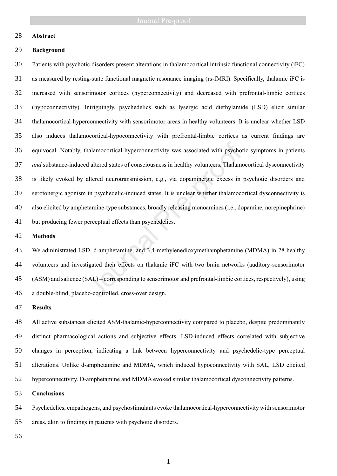# **Abstract**

## **Background**

 Patients with psychotic disorders present alterations in thalamocortical intrinsic functional connectivity (iFC) as measured by resting-state functional magnetic resonance imaging (rs-fMRI). Specifically, thalamic iFC is increased with sensorimotor cortices (hyperconnectivity) and decreased with prefrontal-limbic cortices (hypoconnectivity). Intriguingly, psychedelics such as lysergic acid diethylamide (LSD) elicit similar thalamocortical-hyperconnectivity with sensorimotor areas in healthy volunteers. It is unclear whether LSD also induces thalamocortical-hypoconnectivity with prefrontal-limbic cortices as current findings are equivocal. Notably, thalamocortical-hyperconnectivity was associated with psychotic symptoms in patients *and* substance-induced altered states of consciousness in healthy volunteers. Thalamocortical dysconnectivity is likely evoked by altered neurotransmission, e.g., via dopaminergic excess in psychotic disorders and serotonergic agonism in psychedelic-induced states. It is unclear whether thalamocortical dysconnectivity is also elicited by amphetamine-type substances, broadly releasing monoamines (i.e., dopamine, norepinephrine) but producing fewer perceptual effects than psychedelics. halamocortical-hyperconnectivity was associated with psychot d altered states of consciousness in healthy volunteers. Thalamocortane altered neurotransmission, e.g., via dopaminergic excess in in psychedelic-induced states

### **Methods**

 We administrated LSD, d-amphetamine, and 3,4-methylenedioxymethamphetamine (MDMA) in 28 healthy volunteers and investigated their effects on thalamic iFC with two brain networks (auditory-sensorimotor (ASM) and salience (SAL) – corresponding to sensorimotor and prefrontal-limbic cortices, respectively), using a double-blind, placebo-controlled, cross-over design.

## **Results**

 All active substances elicited ASM-thalamic-hyperconnectivity compared to placebo, despite predominantly distinct pharmacological actions and subjective effects. LSD-induced effects correlated with subjective changes in perception, indicating a link between hyperconnectivity and psychedelic-type perceptual alterations. Unlike d-amphetamine and MDMA, which induced hypoconnectivity with SAL, LSD elicited hyperconnectivity. D-amphetamine and MDMA evoked similar thalamocortical dysconnectivity patterns.

## **Conclusions**

 Psychedelics, empathogens, and psychostimulants evoke thalamocortical-hyperconnectivity with sensorimotor areas, akin to findings in patients with psychotic disorders.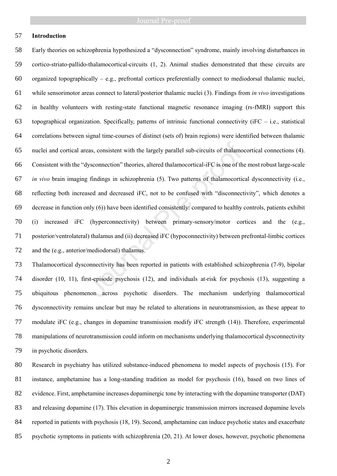# **Introduction**

 Early theories on schizophrenia hypothesized a "dysconnection" syndrome, mainly involving disturbances in cortico-striato-pallido-thalamocortical-circuits (1, 2). Animal studies demonstrated that these circuits are 60 organized topographically – e.g., prefrontal cortices preferentially connect to mediodorsal thalamic nuclei, while sensorimotor areas connect to lateral/posterior thalamic nuclei (3). Findings from *in vivo* investigations in healthy volunteers with resting-state functional magnetic resonance imaging (rs-fMRI) support this 63 topographical organization. Specifically, patterns of intrinsic functional connectivity ( $iFC - i.e.,$  statistical correlations between signal time-courses of distinct (sets of) brain regions) were identified between thalamic nuclei and cortical areas, consistent with the largely parallel sub-circuits of thalamocortical connections (4). Consistent with the "dysconnection" theories, altered thalamocortical-iFC is one of the most robust large-scale *in vivo* brain imaging findings in schizophrenia (5). Two patterns of thalamocortical dysconnectivity (i.e., reflecting both increased and decreased iFC, not to be confused with "disconnectivity", which denotes a decrease in function only (6)) have been identified consistently: compared to healthy controls, patients exhibit (i) increased iFC (hyperconnectivity) between primary-sensory/motor cortices and the (e.g., posterior/ventrolateral) thalamus and (ii) decreased iFC (hypoconnectivity) between prefrontal-limbic cortices and the (e.g., anterior/mediodorsal) thalamus. eas, consistent with the largely parallel sub-circuits of thalamodys<br>connection" theories, altered thalamocortical-iFC is one of the<br>g findings in schizophrenia (5). Two patterns of thalamocortic<br>sed and decreased iFC, not

 Thalamocortical dysconnectivity has been reported in patients with established schizophrenia (7-9), bipolar disorder (10, 11), first-episode psychosis (12), and individuals at-risk for psychosis (13), suggesting a ubiquitous phenomenon across psychotic disorders. The mechanism underlying thalamocortical dysconnectivity remains unclear but may be related to alterations in neurotransmission, as these appear to modulate iFC (e.g., changes in dopamine transmission modify iFC strength (14)). Therefore, experimental manipulations of neurotransmission could inform on mechanisms underlying thalamocortical dysconnectivity in psychotic disorders.

 Research in psychiatry has utilized substance-induced phenomena to model aspects of psychosis (15). For instance, amphetamine has a long-standing tradition as model for psychosis (16), based on two lines of evidence. First, amphetamine increases dopaminergic tone by interacting with the dopamine transporter (DAT) and releasing dopamine (17). This elevation in dopaminergic transmission mirrors increased dopamine levels reported in patients with psychosis (18, 19). Second, amphetamine can induce psychotic states and exacerbate psychotic symptoms in patients with schizophrenia (20, 21). At lower doses, however, psychotic phenomena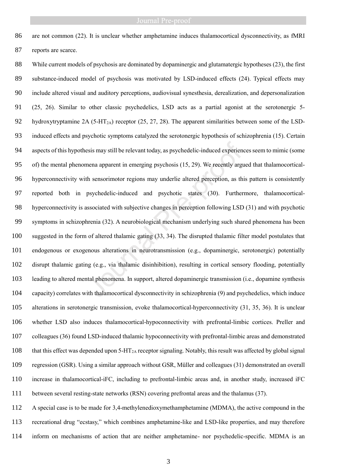are not common (22). It is unclear whether amphetamine induces thalamocortical dysconnectivity, as fMRI reports are scarce.

 While current models of psychosis are dominated by dopaminergic and glutamatergic hypotheses (23), the first substance-induced model of psychosis was motivated by LSD-induced effects (24). Typical effects may include altered visual and auditory perceptions, audiovisual synesthesia, derealization, and depersonalization (25, 26). Similar to other classic psychedelics, LSD acts as a partial agonist at the serotonergic 5- 92 hydroxytryptamine 2A (5-HT<sub>2A</sub>) receptor (25, 27, 28). The apparent similarities between some of the LSD- induced effects and psychotic symptoms catalyzed the serotonergic hypothesis of schizophrenia (15). Certain aspects of this hypothesis may still be relevant today, as psychedelic-induced experiences seem to mimic (some of) the mental phenomena apparent in emerging psychosis (15, 29). We recently argued that thalamocortical- hyperconnectivity with sensorimotor regions may underlie altered perception, as this pattern is consistently reported both in psychedelic-induced and psychotic states (30). Furthermore, thalamocortical- hyperconnectivity is associated with subjective changes in perception following LSD (31) and with psychotic symptoms in schizophrenia (32). A neurobiological mechanism underlying such shared phenomena has been suggested in the form of altered thalamic gating (33, 34). The disrupted thalamic filter model postulates that endogenous or exogenous alterations in neurotransmission (e.g., dopaminergic, serotonergic) potentially disrupt thalamic gating (e.g., via thalamic disinhibition), resulting in cortical sensory flooding, potentially leading to altered mental phenomena. In support, altered dopaminergic transmission (i.e., dopamine synthesis capacity) correlates with thalamocortical dysconnectivity in schizophrenia (9) and psychedelics, which induce alterations in serotonergic transmission, evoke thalamocortical-hyperconnectivity (31, 35, 36). It is unclear whether LSD also induces thalamocortical-hypoconnectivity with prefrontal-limbic cortices. Preller and colleagues (36) found LSD-induced thalamic hypoconnectivity with prefrontal-limbic areas and demonstrated 108 that this effect was depended upon 5-HT<sub>2A</sub> receptor signaling. Notably, this result was affected by global signal regression (GSR). Using a similar approach without GSR, Müller and colleagues (31) demonstrated an overall increase in thalamocortical-iFC, including to prefrontal-limbic areas and, in another study, increased iFC between several resting-state networks (RSN) covering prefrontal areas and the thalamus (37). esis may still be relevant today, as psychedelic-induced experien<br>mena apparent in emerging psychosis (15, 29). We recently arge<br>th sensorimotor regions may underlie altered perception, as th<br>psychedelic-induced and psycho

 A special case is to be made for 3,4-methylenedioxymethamphetamine (MDMA), the active compound in the recreational drug "ecstasy," which combines amphetamine-like and LSD-like properties, and may therefore inform on mechanisms of action that are neither amphetamine- nor psychedelic-specific. MDMA is an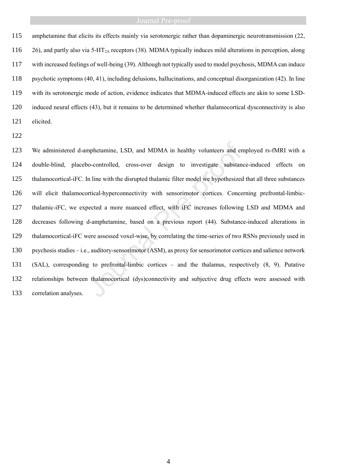amphetamine that elicits its effects mainly via serotonergic rather than dopaminergic neurotransmission (22, 116 26), and partly also via 5-HT<sub>2A</sub> receptors (38). MDMA typically induces mild alterations in perception, along with increased feelings of well-being (39). Although not typically used to model psychosis, MDMA can induce psychotic symptoms (40, 41), including delusions, hallucinations, and conceptual disorganization (42). In line with its serotonergic mode of action, evidence indicates that MDMA-induced effects are akin to some LSD- induced neural effects (43), but it remains to be determined whether thalamocortical dysconnectivity is also elicited.

 We administered d-amphetamine, LSD, and MDMA in healthy volunteers and employed rs-fMRI with a double-blind, placebo-controlled, cross-over design to investigate substance-induced effects on thalamocortical-iFC. In line with the disrupted thalamic filter model we hypothesized that all three substances will elicit thalamocortical-hyperconnectivity with sensorimotor cortices. Concerning prefrontal-limbic- thalamic-iFC, we expected a more nuanced effect, with iFC increases following LSD and MDMA and decreases following d-amphetamine, based on a previous report (44). Substance-induced alterations in thalamocortical-iFC were assessed voxel-wise, by correlating the time-series of two RSNs previously used in psychosis studies – i.e., auditory-sensorimotor (ASM), as proxy for sensorimotor cortices and salience network (SAL), corresponding to prefrontal-limbic cortices – and the thalamus, respectively (8, 9). Putative relationships between thalamocortical (dys)connectivity and subjective drug effects were assessed with We administered d-amphetamine, LSD, and MDMA in healthy volunteers and en<br>double-blind, placebo-controlled, cross-over design to investigate substant<br>thalamocortical-iFC. In line with the disrupted thalamic filter model we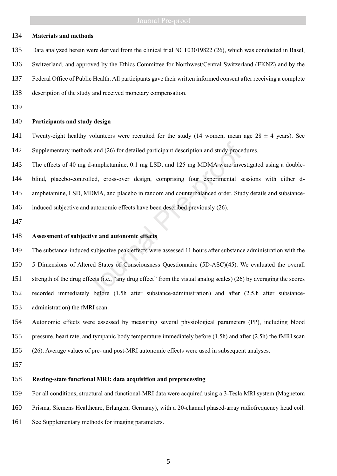### **Materials and methods**

- Data analyzed herein were derived from the clinical trial NCT03019822 (26), which was conducted in Basel,
- Switzerland, and approved by the Ethics Committee for Northwest/Central Switzerland (EKNZ) and by the
- Federal Office of Public Health. All participants gave their written informed consent after receiving a complete
- description of the study and received monetary compensation.
- 

# **Participants and study design**

- 141 Twenty-eight healthy volunteers were recruited for the study (14 women, mean age  $28 \pm 4$  years). See 142 Supplementary methods and (26) for detailed participant description and study procedures.
- The effects of 40 mg d-amphetamine, 0.1 mg LSD, and 125 mg MDMA were investigated using a double- blind, placebo-controlled, cross-over design, comprising four experimental sessions with either d-amphetamine, LSD, MDMA, and placebo in random and counterbalanced order. Study details and substance-
- induced subjective and autonomic effects have been described previously (26).
- 

### **Assessment of subjective and autonomic effects**

 The substance-induced subjective peak effects were assessed 11 hours after substance administration with the 5 Dimensions of Altered States of Consciousness Questionnaire (5D-ASC)(45). We evaluated the overall strength of the drug effects (i.e., "any drug effect" from the visual analog scales) (26) by averaging the scores recorded immediately before (1.5h after substance-administration) and after (2.5.h after substance- administration) the fMRI scan. order and (26) for detailed participant description and study proce<br>d-amphetamine, 0.1 mg LSD, and 125 mg MDMA were inve<br>olled, cross-over design, comprising four experimental s<br>MDMA, and placebo in random and counterbalan

 Autonomic effects were assessed by measuring several physiological parameters (PP), including blood pressure, heart rate, and tympanic body temperature immediately before (1.5h) and after (2.5h) the fMRI scan (26). Average values of pre- and post-MRI autonomic effects were used in subsequent analyses.

### **Resting-state functional MRI: data acquisition and preprocessing**

For all conditions, structural and functional-MRI data were acquired using a 3-Tesla MRI system (Magnetom

- Prisma, Siemens Healthcare, Erlangen, Germany), with a 20-channel phased-array radiofrequency head coil.
- See Supplementary methods for imaging parameters.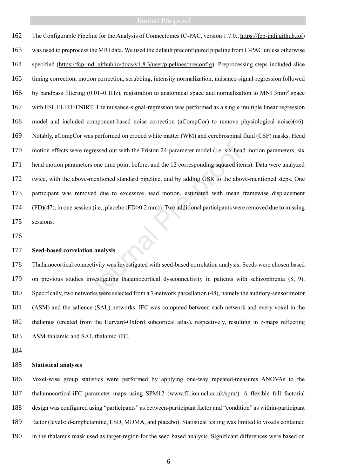The Configurable Pipeline for the Analysis of Connectomes (C-PAC, version 1.7.0.[, https://fcp-indi.github.io/\)](https://fcp-indi.github.io/) was used to preprocess the MRI data. We used the default preconfigured pipeline from C-PAC unless otherwise specified [\(https://fcp-indi.github.io/docs/v1.8.3/user/pipelines/preconfig\)](https://fcp-indi.github.io/docs/v1.8.3/user/pipelines/preconfig). Preprocessing steps included slice timing correction, motion correction, scrubbing, intensity normalization, nuisance-signal-regression followed 166 by bandpass filtering  $(0.01-0.1\text{Hz})$ , registration to anatomical space and normalization to MNI 3mm<sup>3</sup> space with FSL FLIRT/FNIRT. The nuisance-signal-regression was performed as a single multiple linear regression model and included component-based noise correction (aCompCor) to remove physiological noise)(46). Notably, aCompCor was performed on eroded white matter (WM) and cerebrospinal fluid (CSF) masks. Head motion effects were regressed out with the Friston 24-parameter model (i.e. six head motion parameters, six head motion parameters one time point before, and the 12 corresponding squared items). Data were analyzed twice, with the above-mentioned standard pipeline, and by adding GSR to the above-mentioned steps. One participant was removed due to excessive head motion, estimated with mean framewise displacement (FD)(47), in one session (i.e., placebo (FD>0.2 mm)). Two additional participants were removed due to missing sessions. egressed out with the Friston 24-parameter model (i.e. six heads<br>res one time point before, and the 12 corresponding squared ite<br>-mentioned standard pipeline, and by adding GSR to the aboved due to excessive head motion, e

### **Seed-based correlation analysis**

 Thalamocortical connectivity was investigated with seed-based correlation analysis. Seeds were chosen based on previous studies investigating thalamocortical dysconnectivity in patients with schizophrenia (8, 9). Specifically, two networks were selected from a 7-network parcellation (48), namely the auditory-sensorimotor (ASM) and the salience (SAL) networks. IFC was computed between each network and every voxel in the thalamus (created from the Harvard-Oxford subcortical atlas), respectively, resulting in z-maps reflecting ASM-thalamic and SAL-thalamic-iFC.

## **Statistical analyses**

 Voxel-wise group statistics were performed by applying one-way repeated-measures ANOVAs to the thalamocortical-iFC parameter maps using SPM12 [\(www.fil.ion.ucl.ac.uk/spm/\)](http://www.fil.ion.ucl.ac.uk/spm/). A flexible full factorial design was configured using "participants" as between-participant factor and "condition" as within-participant factor (levels: d-amphetamine, LSD, MDMA, and placebo). Statistical testing was limited to voxels contained in the thalamus mask used as target-region for the seed-based analysis. Significant differences were based on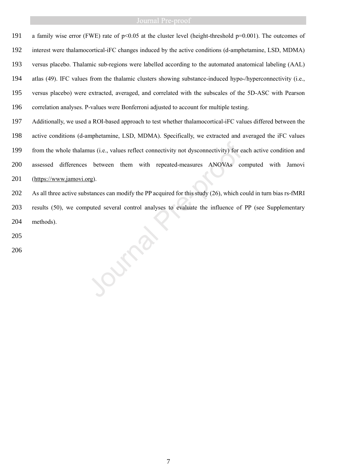191 a family wise error (FWE) rate of p<0.05 at the cluster level (height-threshold p=0.001). The outcomes of interest were thalamocortical-iFC changes induced by the active conditions (d-amphetamine, LSD, MDMA) versus placebo. Thalamic sub-regions were labelled according to the automated anatomical labeling (AAL) atlas (49). IFC values from the thalamic clusters showing substance-induced hypo-/hyperconnectivity (i.e., versus placebo) were extracted, averaged, and correlated with the subscales of the 5D-ASC with Pearson correlation analyses. P-values were Bonferroni adjusted to account for multiple testing.

 Additionally, we used a ROI-based approach to test whether thalamocortical-iFC values differed between the active conditions (d-amphetamine, LSD, MDMA). Specifically, we extracted and averaged the iFC values from the whole thalamus (i.e., values reflect connectivity not dysconnectivity) for each active condition and assessed differences between them with repeated-measures ANOVAs computed with Jamovi [\(https://www.jamovi.org\)](https://www.jamovi.org/). 199 from the whole thalamus (i.e., values reflect connectivity not dysconnectivity) for e<br>
200 assessed differences between them with repeated-measures ANOVAs co<br>
201 (https://www.jamovi.org).<br>
202 As all three active subs

 As all three active substances can modify the PP acquired for this study (26), which could in turn bias rs-fMRI results (50), we computed several control analyses to evaluate the influence of PP (see Supplementary methods).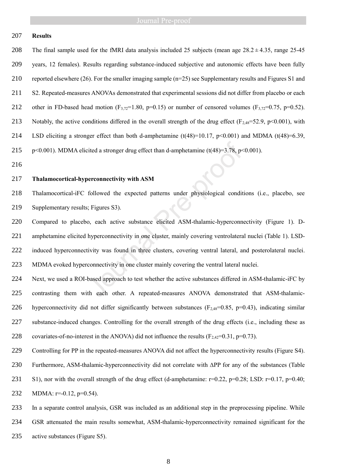# **Results**

208 The final sample used for the fMRI data analysis included 25 subjects (mean age  $28.2 \pm 4.35$ , range 25-45 years, 12 females). Results regarding substance-induced subjective and autonomic effects have been fully reported elsewhere (26). For the smaller imaging sample (n=25) see Supplementary results and Figures S1 and S2. Repeated-measures ANOVAs demonstrated that experimental sessions did not differ from placebo or each 212 other in FD-based head motion ( $F_{3,72}=1.80$ ,  $p=0.15$ ) or number of censored volumes ( $F_{3,72}=0.75$ ,  $p=0.52$ ). 213 Notably, the active conditions differed in the overall strength of the drug effect ( $F_{2,48}=52.9$ ,  $p<0.001$ ), with 214 LSD eliciting a stronger effect than both d-amphetamine  $(t(48)=10.17, p<0.001)$  and MDMA  $(t(48)=6.39,$ 215 p<0.001). MDMA elicited a stronger drug effect than d-amphetamine  $(t(48)=3.78, p<0.001)$ .

# **Thalamocortical-hyperconnectivity with ASM**

 Thalamocortical-iFC followed the expected patterns under physiological conditions (i.e., placebo, see 219 Supplementary results: Figures S3).

 Compared to placebo, each active substance elicited ASM-thalamic-hyperconnectivity (Figure 1). D- amphetamine elicited hyperconnectivity in one cluster, mainly covering ventrolateral nuclei (Table 1). LSD- induced hyperconnectivity was found in three clusters, covering ventral lateral, and posterolateral nuclei. MDMA evoked hyperconnectivity in one cluster mainly covering the ventral lateral nuclei. cited a stronger drug effect than d-amphetamine  $(t(48)=3.78, p \times$ <br>perconnectivity with ASM<br>followed the expected patterns under physiological condit<br>s; Figures S3).<br>oo, each active substance elicited ASM-thalamic-hyperconn<br>

 Next, we used a ROI-based approach to test whether the active substances differed in ASM-thalamic-iFC by contrasting them with each other. A repeated-measures ANOVA demonstrated that ASM-thalamic-226 hyperconnectivity did not differ significantly between substances  $(F_{2,48}=0.85, p=0.43)$ , indicating similar substance-induced changes. Controlling for the overall strength of the drug effects (i.e., including these as 228 covariates-of-no-interest in the ANOVA) did not influence the results  $(F_{2,42}=0.31, p=0.73)$ .

Controlling for PP in the repeated-measures ANOVA did not affect the hyperconnectivity results (Figure S4).

 Furthermore, ASM-thalamic-hyperconnectivity did not correlate with ∆PP for any of the substances (Table 231 S1), nor with the overall strength of the drug effect (d-amphetamine:  $r=0.22$ ,  $p=0.28$ ; LSD:  $r=0.17$ ,  $p=0.40$ ; 232 MDMA: r=-0.12, p=0.54).

 In a separate control analysis, GSR was included as an additional step in the preprocessing pipeline. While GSR attenuated the main results somewhat, ASM-thalamic-hyperconnectivity remained significant for the 235 active substances (Figure S5).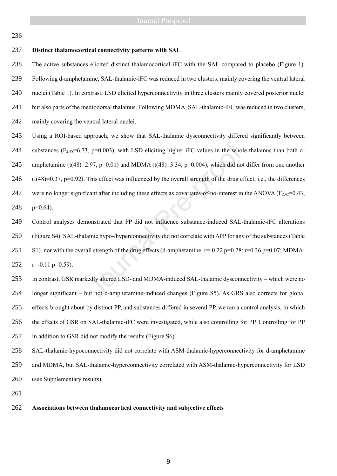### **Distinct thalamocortical connectivity patterns with SAL**

 The active substances elicited distinct thalamocortical-iFC with the SAL compared to placebo (Figure 1). Following d-amphetamine, SAL-thalamic-iFC was reduced in two clusters, mainly covering the ventral lateral nuclei (Table 1). In contrast, LSD elicited hyperconnectivity in three clusters mainly covered posterior nuclei 241 but also parts of the mediodorsal thalamus. Following MDMA, SAL-thalamic-iFC was reduced in two clusters, 242 mainly covering the ventral lateral nuclei.

 Using a ROI-based approach, we show that SAL-thalamic dysconnectivity differed significantly between 244 substances ( $F_{2,48}$ =6.73, p=0.003), with LSD eliciting higher iFC values in the whole thalamus than both d-245 amphetamine (t(48)=2.97, p=0.01) and MDMA (t(48)=3.34, p=0.004), which did not differ from one another 246  $(t(48)=0.37, p=0.92)$ . This effect was influenced by the overall strength of the drug effect, i.e., the differences

247 were no longer significant after including these effects as covariates-of-no-interest in the ANOVA  $(F_{2,42}=0.43,$ 248  $p=0.64$ ).

 Control analyses demonstrated that PP did not influence substance-induced SAL-thalamic-iFC alterations (Figure S4). SAL-thalamic hypo-/hyperconnectivity did not correlate with ∆PP for any of the substances (Table 251 S1), nor with the overall strength of the drug effects (d-amphetamine:  $r=0.22$  p=0.28;  $r=0.36$  p=0.07; MDMA: 252  $r=-0.11$  p=0.59). 3, p=0.003), with LSD eliciting higher iFC values in the whol<br>2.97, p=0.01) and MDMA (t(48)=3.34, p=0.004), which did no<br>This effect was influenced by the overall strength of the drug e<br>icant after including these effects

 In contrast, GSR markedly altered LSD- and MDMA-induced SAL-thalamic dysconnectivity – which were no longer significant – but not d-amphetamine-induced changes (Figure S5). As GRS also corrects for global effects brought about by distinct PP, and substances differed in several PP, we ran a control analysis, in which the effects of GSR on SAL-thalamic-iFC were investigated, while also controlling for PP. Controlling for PP in addition to GSR did not modify the results (Figure S6).

 SAL-thalamic-hypoconnectivity did not correlate with ASM-thalamic-hyperconnectivity for d-amphetamine and MDMA, but SAL-thalamic-hyperconnectivity correlated with ASM-thalamic-hyperconnectivity for LSD (see Supplementary results).

### **Associations between thalamocortical connectivity and subjective effects**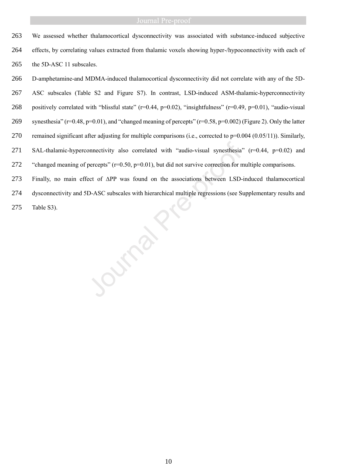We assessed whether thalamocortical dysconnectivity was associated with substance-induced subjective effects, by correlating values extracted from thalamic voxels showing hyper-/hypoconnectivity with each of 265 the 5D-ASC 11 subscales.

 D-amphetamine-and MDMA-induced thalamocortical dysconnectivity did not correlate with any of the 5D- ASC subscales (Table S2 and Figure S7). In contrast, LSD-induced ASM-thalamic-hyperconnectivity 268 positively correlated with "blissful state" (r=0.44, p=0.02), "insightfulness" (r=0.49, p=0.01), "audio-visual synesthesia" (r=0.48, p=0.01), and "changed meaning of percepts" (r=0.58, p=0.002) (Figure 2). Only the latter 270 remained significant after adjusting for multiple comparisons (i.e., corrected to  $p=0.004$  (0.05/11)). Similarly, SAL-thalamic-hyperconnectivity also correlated with "audio-visual synesthesia" (r=0.44, p=0.02) and 272 "changed meaning of percepts" (r=0.50, p=0.01), but did not survive correction for multiple comparisons. 271 SAL-thalamic-hyperconnectivity also correlated with "audio-visual synesthesia"<br>
272 "changed meaning of percepts"  $(r=0.50, p=0.01)$ , but did not survive correction for n<br>
273 Finally, no main effect of  $\triangle PP$  was found

Finally, no main effect of ∆PP was found on the associations between LSD-induced thalamocortical

dysconnectivity and 5D-ASC subscales with hierarchical multiple regressions (see Supplementary results and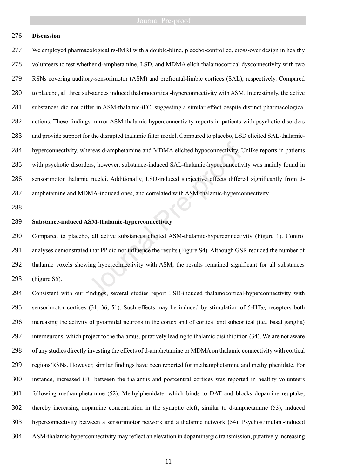# **Discussion**

 We employed pharmacological rs-fMRI with a double-blind, placebo-controlled, cross-over design in healthy volunteers to test whether d-amphetamine, LSD, and MDMA elicit thalamocortical dysconnectivity with two RSNs covering auditory-sensorimotor (ASM) and prefrontal-limbic cortices (SAL), respectively. Compared to placebo, all three substances induced thalamocortical-hyperconnectivity with ASM. Interestingly, the active substances did not differ in ASM-thalamic-iFC, suggesting a similar effect despite distinct pharmacological actions. These findings mirror ASM-thalamic-hyperconnectivity reports in patients with psychotic disorders and provide support for the disrupted thalamic filter model. Compared to placebo, LSD elicited SAL-thalamic- hyperconnectivity, whereas d-amphetamine and MDMA elicited hypoconnectivity. Unlike reports in patients with psychotic disorders, however, substance-induced SAL-thalamic-hypoconnectivity was mainly found in sensorimotor thalamic nuclei. Additionally, LSD-induced subjective effects differed significantly from d- amphetamine and MDMA-induced ones, and correlated with ASM-thalamic-hyperconnectivity. nereas d-amphetamine and MDMA elicited hypoconnectivity. Units, however, substance-induced SAL-thalamic-hypoconnectivic c nuclei. Additionally, LSD-induced subjective effects differed MA-induced ones, and correlated with A

# **Substance-induced ASM-thalamic-hyperconnectivity**

 Compared to placebo, all active substances elicited ASM-thalamic-hyperconnectivity (Figure 1). Control analyses demonstrated that PP did not influence the results (Figure S4). Although GSR reduced the number of thalamic voxels showing hyperconnectivity with ASM, the results remained significant for all substances (Figure S5).

 Consistent with our findings, several studies report LSD-induced thalamocortical-hyperconnectivity with 295 sensorimotor cortices (31, 36, 51). Such effects may be induced by stimulation of  $5-HT<sub>2A</sub>$  receptors both increasing the activity of pyramidal neurons in the cortex and of cortical and subcortical (i.e., basal ganglia) interneurons, which project to the thalamus, putatively leading to thalamic disinhibition (34). We are not aware of any studies directly investing the effects of d-amphetamine or MDMA on thalamic connectivity with cortical regions/RSNs. However, similar findings have been reported for methamphetamine and methylphenidate. For instance, increased iFC between the thalamus and postcentral cortices was reported in healthy volunteers following methamphetamine (52). Methylphenidate, which binds to DAT and blocks dopamine reuptake, thereby increasing dopamine concentration in the synaptic cleft, similar to d-amphetamine (53), induced hyperconnectivity between a sensorimotor network and a thalamic network (54). Psychostimulant-induced ASM-thalamic-hyperconnectivity may reflect an elevation in dopaminergic transmission, putatively increasing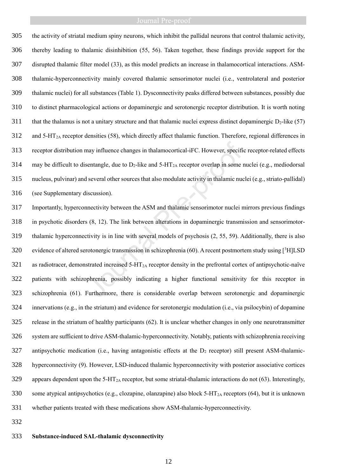the activity of striatal medium spiny neurons, which inhibit the pallidal neurons that control thalamic activity, thereby leading to thalamic disinhibition (55, 56). Taken together, these findings provide support for the disrupted thalamic filter model (33), as this model predicts an increase in thalamocortical interactions. ASM- thalamic-hyperconnectivity mainly covered thalamic sensorimotor nuclei (i.e., ventrolateral and posterior thalamic nuclei) for all substances (Table 1). Dysconnectivity peaks differed between substances, possibly due to distinct pharmacological actions or dopaminergic and serotonergic receptor distribution. It is worth noting 311 that the thalamus is not a unitary structure and that thalamic nuclei express distinct dopaminergic  $D_2$ -like (57) and  $5-\text{HT}_{2A}$  receptor densities (58), which directly affect thalamic function. Therefore, regional differences in receptor distribution may influence changes in thalamocortical-iFC. However, specific receptor-related effects 314 may be difficult to disentangle, due to  $D_2$ -like and 5-HT<sub>2A</sub> receptor overlap in some nuclei (e.g., mediodorsal nucleus, pulvinar) and several other sources that also modulate activity in thalamic nuclei (e.g., striato-pallidal) (see Supplementary discussion).

 Importantly, hyperconnectivity between the ASM and thalamic sensorimotor nuclei mirrors previous findings in psychotic disorders (8, 12). The link between alterations in dopaminergic transmission and sensorimotor- thalamic hyperconnectivity is in line with several models of psychosis (2, 55, 59). Additionally, there is also 320 evidence of altered serotonergic transmission in schizophrenia (60). A recent postmortem study using  $[3H]LSD$  as radiotracer, demonstrated increased  $5-\text{HT}_{2A}$  receptor density in the prefrontal cortex of antipsychotic-naïve patients with schizophrenia, possibly indicating a higher functional sensitivity for this receptor in schizophrenia (61). Furthermore, there is considerable overlap between serotonergic and dopaminergic innervations (e.g., in the striatum) and evidence for serotonergic modulation (i.e., via psilocybin) of dopamine release in the striatum of healthy participants (62). It is unclear whether changes in only one neurotransmitter system are sufficient to drive ASM-thalamic-hyperconnectivity. Notably, patients with schizophrenia receiving 327 antipsychotic medication (i.e., having antagonistic effects at the  $D_2$  receptor) still present ASM-thalamic- hyperconnectivity (9). However, LSD-induced thalamic hyperconnectivity with posterior associative cortices 329 appears dependent upon the 5-HT<sub>2A</sub> receptor, but some striatal-thalamic interactions do not  $(63)$ . Interestingly, 330 some atypical antipsychotics (e.g., clozapine, olanzapine) also block 5-HT<sub>2A</sub> receptors (64), but it is unknown whether patients treated with these medications show ASM-thalamic-hyperconnectivity. may influence changes in thalamocortical-iFC. However, specificant<br>angle, due to D<sub>2</sub>-like and 5-HT<sub>2A</sub> receptor overlap in some if<br>several other sources that also modulate activity in thalamic nuc<br>iscussion).<br>mectivity b

### **Substance-induced SAL-thalamic dysconnectivity**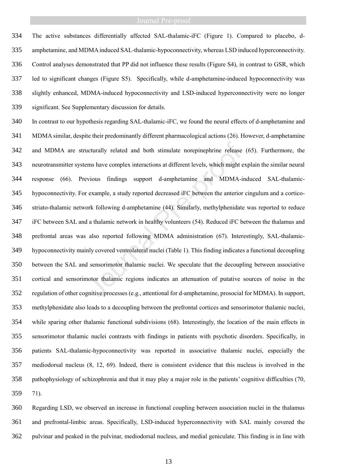The active substances differentially affected SAL-thalamic-iFC (Figure 1). Compared to placebo, d- amphetamine, and MDMA induced SAL-thalamic-hypoconnectivity, whereas LSD induced hyperconnectivity. Control analyses demonstrated that PP did not influence these results (Figure S4), in contrast to GSR, which led to significant changes (Figure S5). Specifically, while d-amphetamine-induced hypoconnectivity was slightly enhanced, MDMA-induced hypoconnectivity and LSD-induced hyperconnectivity were no longer significant. See Supplementary discussion for details.

 In contrast to our hypothesis regarding SAL-thalamic-iFC, we found the neural effects of d-amphetamine and MDMA similar, despite their predominantly different pharmacological actions (26). However, d-amphetamine and MDMA are structurally related and both stimulate norepinephrine release (65). Furthermore, the neurotransmitter systems have complex interactions at different levels, which might explain the similar neural response (66). Previous findings support d-amphetamine and MDMA-induced SAL-thalamic- hypoconnectivity. For example, a study reported decreased iFC between the anterior cingulum and a cortico- striato-thalamic network following d-amphetamine (44). Similarly, methylphenidate was reported to reduce iFC between SAL and a thalamic network in healthy volunteers (54). Reduced iFC between the thalamus and prefrontal areas was also reported following MDMA administration (67). Interestingly, SAL-thalamic- hypoconnectivity mainly covered ventrolateral nuclei (Table 1). This finding indicates a functional decoupling between the SAL and sensorimotor thalamic nuclei. We speculate that the decoupling between associative cortical and sensorimotor thalamic regions indicates an attenuation of putative sources of noise in the regulation of other cognitive processes (e.g., attentional for d-amphetamine, prosocial for MDMA). In support, methylphenidate also leads to a decoupling between the prefrontal cortices and sensorimotor thalamic nuclei, while sparing other thalamic functional subdivisions (68). Interestingly, the location of the main effects in sensorimotor thalamic nuclei contrasts with findings in patients with psychotic disorders. Specifically, in patients SAL-thalamic-hypoconnectivity was reported in associative thalamic nuclei, especially the mediodorsal nucleus (8, 12, 69). Indeed, there is consistent evidence that this nucleus is involved in the pathophysiology of schizophrenia and that it may play a major role in the patients' cognitive difficulties (70, 71). acturally related and both stimulate norepinephrine release<br>ems have complex interactions at different levels, which might e<br>vious findings support d-amphetamine and MDMA-i<br>example, a study reported decreased iFC between t

 Regarding LSD, we observed an increase in functional coupling between association nuclei in the thalamus and prefrontal-limbic areas. Specifically, LSD-induced hyperconnectivity with SAL mainly covered the pulvinar and peaked in the pulvinar, mediodorsal nucleus, and medial geniculate. This finding is in line with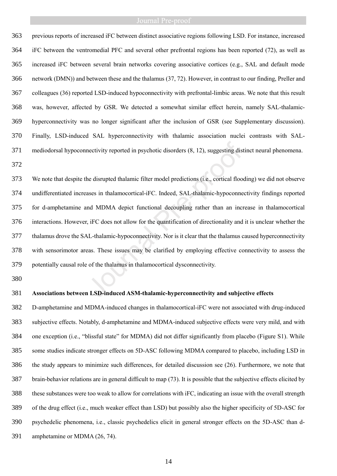previous reports of increased iFC between distinct associative regions following LSD. For instance, increased iFC between the ventromedial PFC and several other prefrontal regions has been reported (72), as well as increased iFC between several brain networks covering associative cortices (e.g., SAL and default mode network (DMN)) and between these and the thalamus (37, 72). However, in contrast to our finding, Preller and colleagues (36) reported LSD-induced hypoconnectivity with prefrontal-limbic areas. We note that this result was, however, affected by GSR. We detected a somewhat similar effect herein, namely SAL-thalamic- hyperconnectivity was no longer significant after the inclusion of GSR (see Supplementary discussion). Finally, LSD-induced SAL hyperconnectivity with thalamic association nuclei contrasts with SAL-mediodorsal hypoconnectivity reported in psychotic disorders (8, 12), suggesting distinct neural phenomena.

 We note that despite the disrupted thalamic filter model predictions (i.e., cortical flooding) we did not observe undifferentiated increases in thalamocortical-iFC. Indeed, SAL-thalamic-hypoconnectivity findings reported for d-amphetamine and MDMA depict functional decoupling rather than an increase in thalamocortical interactions. However, iFC does not allow for the quantification of directionality and it is unclear whether the thalamus drove the SAL-thalamic-hypoconnectivity. Nor is it clear that the thalamus caused hyperconnectivity with sensorimotor areas. These issues may be clarified by employing effective connectivity to assess the potentially causal role of the thalamus in thalamocortical dysconnectivity. mectivity reported in psychotic disorders (8, 12), suggesting dis<br>he disrupted thalamic filter model predictions (i.e., cortical floo<br>ases in thalamocortical-iFC. Indeed, SAL-thalamic-hypoconne<br>nd MDMA depict functional de

### **Associations between LSD-induced ASM-thalamic-hyperconnectivity and subjective effects**

 D-amphetamine and MDMA-induced changes in thalamocortical-iFC were not associated with drug-induced subjective effects. Notably, d-amphetamine and MDMA-induced subjective effects were very mild, and with one exception (i.e., "blissful state" for MDMA) did not differ significantly from placebo (Figure S1). While some studies indicate stronger effects on 5D-ASC following MDMA compared to placebo, including LSD in the study appears to minimize such differences, for detailed discussion see (26). Furthermore, we note that brain-behavior relations are in general difficult to map (73). It is possible that the subjective effects elicited by these substances were too weak to allow for correlations with iFC, indicating an issue with the overall strength of the drug effect (i.e., much weaker effect than LSD) but possibly also the higher specificity of 5D-ASC for psychedelic phenomena, i.e., classic psychedelics elicit in general stronger effects on the 5D-ASC than d-amphetamine or MDMA (26, 74).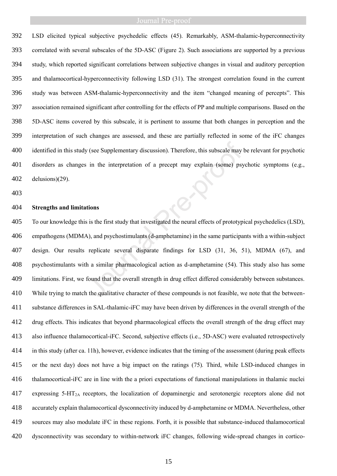LSD elicited typical subjective psychedelic effects (45). Remarkably, ASM-thalamic-hyperconnectivity correlated with several subscales of the 5D-ASC (Figure 2). Such associations are supported by a previous study, which reported significant correlations between subjective changes in visual and auditory perception and thalamocortical-hyperconnectivity following LSD (31). The strongest correlation found in the current study was between ASM-thalamic-hyperconnectivity and the item "changed meaning of percepts". This association remained significant after controlling for the effects of PP and multiple comparisons. Based on the 5D-ASC items covered by this subscale, it is pertinent to assume that both changes in perception and the interpretation of such changes are assessed, and these are partially reflected in some of the iFC changes identified in this study (see Supplementary discussion). Therefore, this subscale may be relevant for psychotic disorders as changes in the interpretation of a precept may explain (some) psychotic symptoms (e.g., delusions)(29).

# **Strengths and limitations**

 To our knowledge this is the first study that investigated the neural effects of prototypical psychedelics (LSD), empathogens (MDMA), and psychostimulants (d-amphetamine) in the same participants with a within-subject design. Our results replicate several disparate findings for LSD (31, 36, 51), MDMA (67), and psychostimulants with a similar pharmacological action as d-amphetamine (54). This study also has some limitations. First, we found that the overall strength in drug effect differed considerably between substances. While trying to match the qualitative character of these compounds is not feasible, we note that the between- substance differences in SAL-thalamic-iFC may have been driven by differences in the overall strength of the drug effects. This indicates that beyond pharmacological effects the overall strength of the drug effect may also influence thalamocortical-iFC. Second, subjective effects (i.e., 5D-ASC) were evaluated retrospectively in this study (after ca. 11h), however, evidence indicates that the timing of the assessment (during peak effects or the next day) does not have a big impact on the ratings (75)*.* Third, while LSD-induced changes in thalamocortical-iFC are in line with the a priori expectations of functional manipulations in thalamic nuclei expressing 5-HT2A receptors, the localization of dopaminergic and serotonergic receptors alone did not accurately explain thalamocortical dysconnectivity induced by d-amphetamine or MDMA. Nevertheless, other sources may also modulate iFC in these regions. Forth, it is possible that substance-induced thalamocortical dysconnectivity was secondary to within-network iFC changes, following wide-spread changes in cortico $y$  (see Supplementary discussion). Therefore, this subscale may<br>
i in the interpretation of a precept may explain (some) psy<br>
itions<br>
is is the first study that investigated the neural effects of prototyp<br>
A), and psycho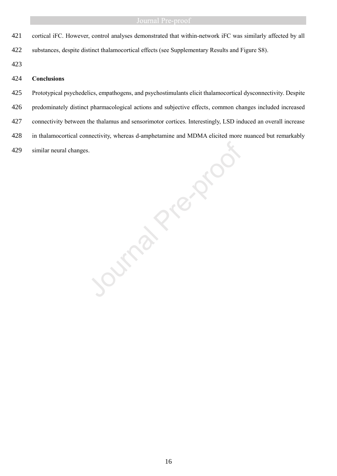- cortical iFC. However, control analyses demonstrated that within-network iFC was similarly affected by all
- substances, despite distinct thalamocortical effects (see Supplementary Results and Figure S8).
- 

# **Conclusions**

 Prototypical psychedelics, empathogens, and psychostimulants elicit thalamocortical dysconnectivity. Despite predominately distinct pharmacological actions and subjective effects, common changes included increased 427 connectivity between the thalamus and sensorimotor cortices. Interestingly, LSD induced an overall increase in thalamocortical connectivity, whereas d-amphetamine and MDMA elicited more nuanced but remarkably similar neural changes.

Journal Press, 2nd Marchine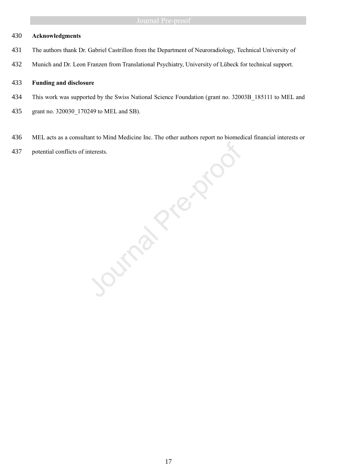# **Acknowledgments**

- The authors thank Dr. Gabriel Castrillon from the Department of Neuroradiology, Technical University of
- Munich and Dr. Leon Franzen from Translational Psychiatry, University of Lübeck for technical support.

### **Funding and disclosure**

- 434 This work was supported by the Swiss National Science Foundation (grant no. 32003B 185111 to MEL and
- 435 grant no. 320030 170249 to MEL and SB).
- MEL acts as a consultant to Mind Medicine Inc. The other authors report no biomedical financial interests or
- 

and Mind Medicine Inc. The other authors report reported and potential conflicts of interests.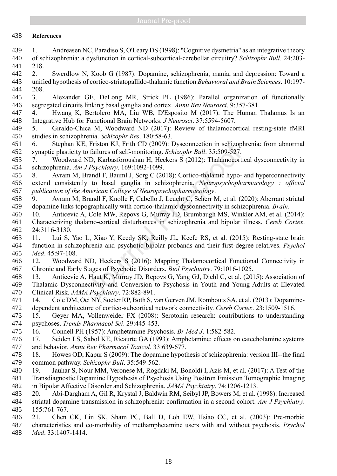# **References**

- 1. Andreasen NC, Paradiso S, O'Leary DS (1998): "Cognitive dysmetria" as an integrative theory of schizophrenia: a dysfunction in cortical-subcortical-cerebellar circuitry? *Schizophr Bull*. 24:203- 218.
- 2. Swerdlow N, Koob G (1987): Dopamine, schizophrenia, mania, and depression: Toward a unified hypothesis of cortico-striatopallido-thalamic function *Behavioral and Brain Sciences*. 10:197- 208.
- 3. Alexander GE, DeLong MR, Strick PL (1986): Parallel organization of functionally segregated circuits linking basal ganglia and cortex. *Annu Rev Neurosci*. 9:357-381.
- 4. Hwang K, Bertolero MA, Liu WB, D'Esposito M (2017): The Human Thalamus Is an Integrative Hub for Functional Brain Networks. *J Neurosci*. 37:5594-5607.
- 5. Giraldo-Chica M, Woodward ND (2017): Review of thalamocortical resting-state fMRI studies in schizophrenia. *Schizophr Res*. 180:58-63.
- 6. Stephan KE, Friston KJ, Frith CD (2009): Dysconnection in schizophrenia: from abnormal synaptic plasticity to failures of self-monitoring. *Schizophr Bull*. 35:509-527.
- 7. Woodward ND, Karbasforoushan H, Heckers S (2012): Thalamocortical dysconnectivity in schizophrenia. *Am J Psychiatry*. 169:1092-1099.
- 8. Avram M, Brandl F, Bauml J, Sorg C (2018): Cortico-thalamic hypo- and hyperconnectivity extend consistently to basal ganglia in schizophrenia. *Neuropsychopharmacology : official publication of the American College of Neuropsychopharmacology*.
- 9. Avram M, Brandl F, Knolle F, Cabello J, Leucht C, Scherr M, et al. (2020): Aberrant striatal dopamine links topographically with cortico-thalamic dysconnectivity in schizophrenia. *Brain*.
- 10. Anticevic A, Cole MW, Repovs G, Murray JD, Brumbaugh MS, Winkler AM, et al. (2014): Characterizing thalamo-cortical disturbances in schizophrenia and bipolar illness. *Cereb Cortex*. 24:3116-3130.
- 11. Lui S, Yao L, Xiao Y, Keedy SK, Reilly JL, Keefe RS, et al. (2015): Resting-state brain function in schizophrenia and psychotic bipolar probands and their first-degree relatives. *Psychol Med*. 45:97-108. , Friston KJ, Frith CD (2009): Dysconnection in schizoply folialures of self-monitoring. *Schizophr Bull.* 35:509-527. ND, Karbasforoushan H, Heckers S (2012): Thalamoeorti *Psychiatry.* 169:1092-1099. Frandl F, Bauml J, S
- 12. Woodward ND, Heckers S (2016): Mapping Thalamocortical Functional Connectivity in Chronic and Early Stages of Psychotic Disorders. *Biol Psychiatry*. 79:1016-1025.
- 13. Anticevic A, Haut K, Murray JD, Repovs G, Yang GJ, Diehl C, et al. (2015): Association of Thalamic Dysconnectivity and Conversion to Psychosis in Youth and Young Adults at Elevated Clinical Risk. *JAMA Psychiatry*. 72:882-891.
- 14. Cole DM, Oei NY, Soeter RP, Both S, van Gerven JM, Rombouts SA, et al. (2013): Dopamine-dependent architecture of cortico-subcortical network connectivity. *Cereb Cortex*. 23:1509-1516.
- 15. Geyer MA, Vollenweider FX (2008): Serotonin research: contributions to understanding psychoses. *Trends Pharmacol Sci*. 29:445-453.
- 16. Connell PH (1957): Amphetamine Psychosis. *Br Med J*. 1:582-582.
- 17. Seiden LS, Sabol KE, Ricaurte GA (1993): Amphetamine: effects on catecholamine systems and behavior. *Annu Rev Pharmacol Toxicol*. 33:639-677.
- 18. Howes OD, Kapur S (2009): The dopamine hypothesis of schizophrenia: version III--the final common pathway. *Schizophr Bull*. 35:549-562.
- 19. Jauhar S, Nour MM, Veronese M, Rogdaki M, Bonoldi I, Azis M, et al. (2017): A Test of the Transdiagnostic Dopamine Hypothesis of Psychosis Using Positron Emission Tomographic Imaging in Bipolar Affective Disorder and Schizophrenia. *JAMA Psychiatry*. 74:1206-1213.
- 20. Abi-Dargham A, Gil R, Krystal J, Baldwin RM, Seibyl JP, Bowers M, et al. (1998): Increased striatal dopamine transmission in schizophrenia: confirmation in a second cohort. *Am J Psychiatry*. 155:761-767.
- 21. Chen CK, Lin SK, Sham PC, Ball D, Loh EW, Hsiao CC, et al. (2003): Pre-morbid characteristics and co-morbidity of methamphetamine users with and without psychosis. *Psychol Med*. 33:1407-1414.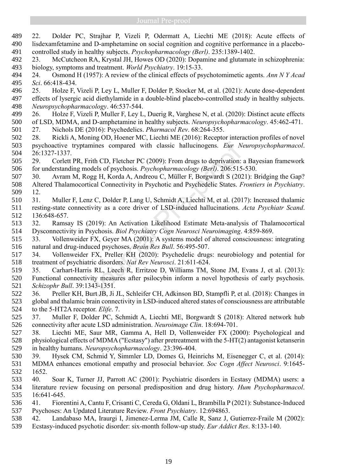22. Dolder PC, Strajhar P, Vizeli P, Odermatt A, Liechti ME (2018): Acute effects of lisdexamfetamine and D-amphetamine on social cognition and cognitive performance in a placebo- controlled study in healthy subjects. *Psychopharmacology (Berl)*. 235:1389-1402. 23. McCutcheon RA, Krystal JH, Howes OD (2020): Dopamine and glutamate in schizophrenia: biology, symptoms and treatment. *World Psychiatry*. 19:15-33. 24. Osmond H (1957): A review of the clinical effects of psychotomimetic agents. *Ann N Y Acad Sci*. 66:418-434. 25. Holze F, Vizeli P, Ley L, Muller F, Dolder P, Stocker M, et al. (2021): Acute dose-dependent effects of lysergic acid diethylamide in a double-blind placebo-controlled study in healthy subjects. *Neuropsychopharmacology*. 46:537-544. 26. Holze F, Vizeli P, Muller F, Ley L, Duerig R, Varghese N, et al. (2020): Distinct acute effects of LSD, MDMA, and D-amphetamine in healthy subjects. *Neuropsychopharmacology*. 45:462-471. 27. Nichols DE (2016): Psychedelics. *Pharmacol Rev*. 68:264-355. 28. Rickli A, Moning OD, Hoener MC, Liechti ME (2016): Receptor interaction profiles of novel psychoactive tryptamines compared with classic hallucinogens. *Eur Neuropsychopharmacol*. 26:1327-1337. 29. Corlett PR, Frith CD, Fletcher PC (2009): From drugs to deprivation: a Bayesian framework for understanding models of psychosis. *Psychopharmacology (Berl)*. 206:515-530. 30. Avram M, Rogg H, Korda A, Andreou C, Müller F, Borgwardt S (2021): Bridging the Gap? Altered Thalamocortical Connectivity in Psychotic and Psychedelic States. *Frontiers in Psychiatry*. 12. 31. Muller F, Lenz C, Dolder P, Lang U, Schmidt A, Liechti M, et al. (2017): Increased thalamic resting-state connectivity as a core driver of LSD-induced hallucinations. *Acta Psychiatr Scand*. 136:648-657. 32. Ramsay IS (2019): An Activation Likelihood Estimate Meta-analysis of Thalamocortical Dysconnectivity in Psychosis. *Biol Psychiatry Cogn Neurosci Neuroimaging*. 4:859-869. 33. Vollenweider FX, Geyer MA (2001): A systems model of altered consciousness: integrating natural and drug-induced psychoses. *Brain Res Bull*. 56:495-507. 34. Vollenweider FX, Preller KH (2020): Psychedelic drugs: neurobiology and potential for treatment of psychiatric disorders. *Nat Rev Neurosci*. 21:611-624. 35. Carhart-Harris RL, Leech R, Erritzoe D, Williams TM, Stone JM, Evans J, et al. (2013): Functional connectivity measures after psilocybin inform a novel hypothesis of early psychosis. *Schizophr Bull*. 39:1343-1351. 36. Preller KH, Burt JB, Ji JL, Schleifer CH, Adkinson BD, Stampfli P, et al. (2018): Changes in global and thalamic brain connectivity in LSD-induced altered states of consciousness are attributable to the 5-HT2A receptor. *Elife*. 7. 37. Muller F, Dolder PC, Schmidt A, Liechti ME, Borgwardt S (2018): Altered network hub connectivity after acute LSD administration. *Neuroimage Clin*. 18:694-701. 38. Liechti ME, Saur MR, Gamma A, Hell D, Vollenweider FX (2000): Psychological and physiological effects of MDMA ("Ecstasy") after pretreatment with the 5-HT(2) antagonist ketanserin in healthy humans. *Neuropsychopharmacology*. 23:396-404. 39. Hysek CM, Schmid Y, Simmler LD, Domes G, Heinrichs M, Eisenegger C, et al. (2014): MDMA enhances emotional empathy and prosocial behavior. *Soc Cogn Affect Neurosci*. 9:1645- 1652. 40. Soar K, Turner JJ, Parrott AC (2001): Psychiatric disorders in Ecstasy (MDMA) users: a literature review focusing on personal predisposition and drug history. *Hum Psychopharmacol*. 16:641-645. 41. Fiorentini A, Cantu F, Crisanti C, Cereda G, Oldani L, Brambilla P (2021): Substance-Induced Psychoses: An Updated Literature Review. *Front Psychiatry*. 12:694863. 42. Landabaso MA, Iraurgi I, Jimenez-Lerma JM, Calle R, Sanz J, Gutierrez-Fraile M (2002): Ecstasy-induced psychotic disorder: six-month follow-up study. *Eur Addict Res*. 8:133-140. amines compared with classic hallucinogens. *Eur Ne*<br>Frith CD, Fletcher PC (2009): From drugs to deprivation:<br>nodels of psychosis. *Psychopharmacology (Berl)*. 206:515-<br>ogg H, Korda A, Andreou C, Müller F, Borgwardt S (202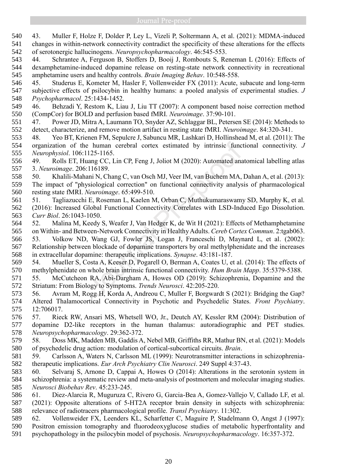43. Muller F, Holze F, Dolder P, Ley L, Vizeli P, Soltermann A, et al. (2021): MDMA-induced changes in within-network connectivity contradict the specificity of these alterations for the effects of serotonergic hallucinogens. *Neuropsychopharmacology*. 46:545-553.

 44. Schrantee A, Ferguson B, Stoffers D, Booij J, Rombouts S, Reneman L (2016): Effects of dexamphetamine-induced dopamine release on resting-state network connectivity in recreational amphetamine users and healthy controls. *Brain Imaging Behav*. 10:548-558.

 45. Studerus E, Kometer M, Hasler F, Vollenweider FX (2011): Acute, subacute and long-term subjective effects of psilocybin in healthy humans: a pooled analysis of experimental studies. *J Psychopharmacol*. 25:1434-1452.

 46. Behzadi Y, Restom K, Liau J, Liu TT (2007): A component based noise correction method (CompCor) for BOLD and perfusion based fMRI. *Neuroimage*. 37:90-101.

 47. Power JD, Mitra A, Laumann TO, Snyder AZ, Schlaggar BL, Petersen SE (2014): Methods to detect, characterize, and remove motion artifact in resting state fMRI. *Neuroimage*. 84:320-341.

 48. Yeo BT, Krienen FM, Sepulcre J, Sabuncu MR, Lashkari D, Hollinshead M, et al. (2011): The organization of the human cerebral cortex estimated by intrinsic functional connectivity. *J Neurophysiol*. 106:1125-1165.

 49. Rolls ET, Huang CC, Lin CP, Feng J, Joliot M (2020): Automated anatomical labelling atlas 3. *Neuroimage*. 206:116189.

50. Khalili-Mahani N, Chang C, van Osch MJ, Veer IM, van Buchem MA, Dahan A, et al. (2013):

 The impact of "physiological correction" on functional connectivity analysis of pharmacological resting state fMRI. *Neuroimage*. 65:499-510.

- 51. Tagliazucchi E, Roseman L, Kaelen M, Orban C, Muthukumaraswamy SD, Murphy K, et al. (2016): Increased Global Functional Connectivity Correlates with LSD-Induced Ego Dissolution. *Curr Biol*. 26:1043-1050.
- 52. Malina M, Keedy S, Weafer J, Van Hedger K, de Wit H (2021): Effects of Methamphetamine on Within- and Between-Network Connectivity in Healthy Adults. *Cereb Cortex Commun*. 2:tgab063.

 53. Volkow ND, Wang GJ, Fowler JS, Logan J, Franceschi D, Maynard L, et al. (2002): Relationship between blockade of dopamine transporters by oral methylphenidate and the increases in extracellular dopamine: therapeutic implications. *Synapse*. 43:181-187. e human cerebral cortex estimated by intrinsic functil 125-1165.<br>
lang CC, Lin CP, Feng J, Joliot M (2020): Automated ana<br>
116189.<br>
ani N, Chang C, van Osch MJ, Veer IM, van Buchem MA,<br>
sysiological correction" on function

 54. Mueller S, Costa A, Keeser D, Pogarell O, Berman A, Coates U, et al. (2014): The effects of methylphenidate on whole brain intrinsic functional connectivity. *Hum Brain Mapp*. 35:5379-5388.

 55. McCutcheon RA, Abi-Dargham A, Howes OD (2019): Schizophrenia, Dopamine and the Striatum: From Biology to Symptoms. *Trends Neurosci*. 42:205-220.

 56. Avram M, Rogg H, Korda A, Andreou C, Muller F, Borgwardt S (2021): Bridging the Gap? Altered Thalamocortical Connectivity in Psychotic and Psychedelic States. *Front Psychiatry*. 12:706017.

57. Rieck RW, Ansari MS, Whetsell WO, Jr., Deutch AY, Kessler RM (2004): Distribution of

 dopamine D2-like receptors in the human thalamus: autoradiographic and PET studies. *Neuropsychopharmacology*. 29:362-372.

 58. Doss MK, Madden MB, Gaddis A, Nebel MB, Griffiths RR, Mathur BN, et al. (2021): Models of psychedelic drug action: modulation of cortical-subcortical circuits. *Brain*.

 59. Carlsson A, Waters N, Carlsson ML (1999): Neurotransmitter interactions in schizophrenia-therapeutic implications. *Eur Arch Psychiatry Clin Neurosci*. 249 Suppl 4:37-43.

 60. Selvaraj S, Arnone D, Cappai A, Howes O (2014): Alterations in the serotonin system in schizophrenia: a systematic review and meta-analysis of postmortem and molecular imaging studies. *Neurosci Biobehav Rev*. 45:233-245.

61. Diez-Alarcia R, Muguruza C, Rivero G, Garcia-Bea A, Gomez-Vallejo V, Callado LF, et al.

 (2021): Opposite alterations of 5-HT2A receptor brain density in subjects with schizophrenia: relevance of radiotracers pharmacological profile. *Transl Psychiatry*. 11:302.

 62. Vollenweider FX, Leenders KL, Scharfetter C, Maguire P, Stadelmann O, Angst J (1997): Positron emission tomography and fluorodeoxyglucose studies of metabolic hyperfrontality and psychopathology in the psilocybin model of psychosis. *Neuropsychopharmacology*. 16:357-372.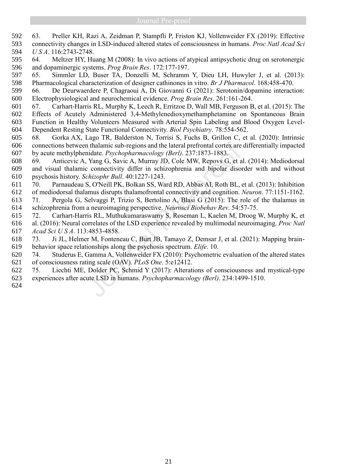- 63. Preller KH, Razi A, Zeidman P, Stampfli P, Friston KJ, Vollenweider FX (2019): Effective connectivity changes in LSD-induced altered states of consciousness in humans. *Proc Natl Acad Sci U S A*. 116:2743-2748.
- 64. Meltzer HY, Huang M (2008): In vivo actions of atypical antipsychotic drug on serotonergic and dopaminergic systems. *Prog Brain Res*. 172:177-197.
- 65. Simmler LD, Buser TA, Donzelli M, Schramm Y, Dieu LH, Huwyler J, et al. (2013): Pharmacological characterization of designer cathinones in vitro. *Br J Pharmacol*. 168:458-470.
- 66. De Deurwaerdere P, Chagraoui A, Di Giovanni G (2021): Serotonin/dopamine interaction: Electrophysiological and neurochemical evidence. *Prog Brain Res*. 261:161-264.
- 67. Carhart-Harris RL, Murphy K, Leech R, Erritzoe D, Wall MB, Ferguson B, et al. (2015): The Effects of Acutely Administered 3,4-Methylenedioxymethamphetamine on Spontaneous Brain Function in Healthy Volunteers Measured with Arterial Spin Labeling and Blood Oxygen Level-Dependent Resting State Functional Connectivity. *Biol Psychiatry*. 78:554-562.
- 68. Gorka AX, Lago TR, Balderston N, Torrisi S, Fuchs B, Grillon C, et al. (2020): Intrinsic connections between thalamic sub-regions and the lateral prefrontal cortex are differentially impacted
- by acute methylphenidate. *Psychopharmacology (Berl)*. 237:1873-1883.
- 69. Anticevic A, Yang G, Savic A, Murray JD, Cole MW, Repovs G, et al. (2014): Mediodorsal and visual thalamic connectivity differ in schizophrenia and bipolar disorder with and without psychosis history. *Schizophr Bull*. 40:1227-1243. 606 connections between thalamic sub-regions and the lateral prefrontal cortex are<br>607 by acute methylphenidate. *Psychopharmacology (Berl)*. 237:1873-1883.<br>608 69. Anticevic A, Yang G, Savic A, Murray JD, Cole MW, Repovs
- 70. Parnaudeau S, O'Neill PK, Bolkan SS, Ward RD, Abbas AI, Roth BL, et al. (2013): Inhibition of mediodorsal thalamus disrupts thalamofrontal connectivity and cognition. *Neuron*. 77:1151-1162.
- 71. Pergola G, Selvaggi P, Trizio S, Bertolino A, Blasi G (2015): The role of the thalamus in schizophrenia from a neuroimaging perspective. *Neurosci Biobehav Rev*. 54:57-75.
- 72. Carhart-Harris RL, Muthukumaraswamy S, Roseman L, Kaelen M, Droog W, Murphy K, et al. (2016): Neural correlates of the LSD experience revealed by multimodal neuroimaging. *Proc Natl Acad Sci U S A*. 113:4853-4858.
- 73. Ji JL, Helmer M, Fonteneau C, Burt JB, Tamayo Z, Demsar J, et al. (2021): Mapping brain-behavior space relationships along the psychosis spectrum. *Elife*. 10.
- 74. Studerus E, Gamma A, Vollenweider FX (2010): Psychometric evaluation of the altered states of consciousness rating scale (OAV). *PLoS One*. 5:e12412.
- 75. Liechti ME, Dolder PC, Schmid Y (2017): Alterations of consciousness and mystical-type experiences after acute LSD in humans. *Psychopharmacology (Berl)*. 234:1499-1510.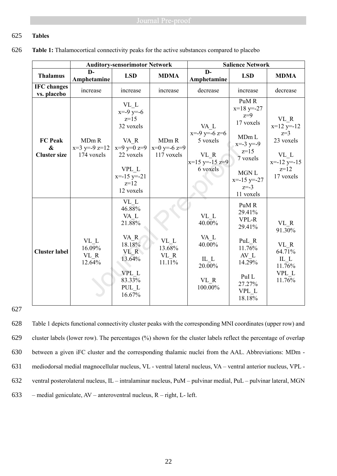# 625 **Tables**

626 **Table 1:** Thalamocortical connectivity peaks for the active substances compared to placebo

|                                            | <b>Auditory-sensorimotor Network</b>   |                                                                                                                                            |                                                   | <b>Salience Network</b>                                                          |                                                                                                                                                                   |                                                                                           |
|--------------------------------------------|----------------------------------------|--------------------------------------------------------------------------------------------------------------------------------------------|---------------------------------------------------|----------------------------------------------------------------------------------|-------------------------------------------------------------------------------------------------------------------------------------------------------------------|-------------------------------------------------------------------------------------------|
| <b>Thalamus</b>                            | $\mathbf{D}$<br>Amphetamine            | <b>LSD</b>                                                                                                                                 | <b>MDMA</b>                                       | $\mathbf{D}$<br>Amphetamine                                                      | <b>LSD</b>                                                                                                                                                        | <b>MDMA</b>                                                                               |
| <b>IFC</b> changes<br>vs. placebo          | increase                               | increase                                                                                                                                   | increase                                          | decrease                                                                         | increase                                                                                                                                                          | decrease                                                                                  |
| <b>FC Peak</b><br>&<br><b>Cluster size</b> | MDm R<br>$x=3$ y=-9 z=12<br>174 voxels | $\rm{VL}\,$ L<br>$x= -9$ y=-6<br>$z=15$<br>32 voxels<br>VA R<br>$x=9$ y=0 z=9<br>22 voxels<br>VPL L<br>$x=15$ y=-21<br>$z=12$<br>12 voxels | MD <sub>m</sub> R<br>$x=0$ y=-6 z=9<br>117 voxels | VA L<br>$x= -9$ y=-6 z=6<br>5 voxels<br>VL R<br>$x=15$ y = -15 z = 9<br>6 voxels | PuMR<br>$x=18$ y=-27<br>$z=9$<br>17 voxels<br>MD <sub>m</sub> L<br>$x = -3$ y=-9<br>$z=15$<br>7 voxels<br>MGN <sub>L</sub><br>$x=15$ y=-27<br>$z=-3$<br>11 voxels | VL R<br>$x=12$ y=-12<br>$z=3$<br>23 voxels<br>VL L<br>$x=12$ y=-15<br>$z=12$<br>17 voxels |
| <b>Cluster label</b>                       | VL L<br>16.09%<br>VL R<br>12.64%       | VL L<br>46.88%<br>VA L<br>21.88%<br>VA R<br>18.18%<br>VL R<br>13.64%<br>VPL L<br>83.33%<br>PUL L<br>16.67%                                 | VL L<br>13.68%<br>VL R<br>11.11%                  | VL L<br>40.00%<br>VA L<br>40.00%<br>IL L<br>20.00%<br>VL R<br>100.00%            | PuMR<br>29.41%<br>VPL-R<br>29.41%<br>PuL R<br>11.76%<br>AV L<br>14.29%<br>PuI L<br>27.27%<br>VPL L<br>18.18%                                                      | VL R<br>91.30%<br>VL R<br>64.71%<br>IL L<br>11.76%<br>VPL L<br>11.76%                     |

627

 Table 1 depicts functional connectivity cluster peaks with the corresponding MNI coordinates (upper row) and cluster labels (lower row). The percentages (%) shown for the cluster labels reflect the percentage of overlap between a given iFC cluster and the corresponding thalamic nuclei from the AAL. Abbreviations: MDm - mediodorsal medial magnocellular nucleus, VL - ventral lateral nucleus, VA – ventral anterior nucleus, VPL - ventral posterolateral nucleus, IL – intralaminar nucleus, PuM – pulvinar medial, PuL – pulvinar lateral, MGN 633 – medial geniculate,  $AV$  – anteroventral nucleus,  $R$  – right, L- left.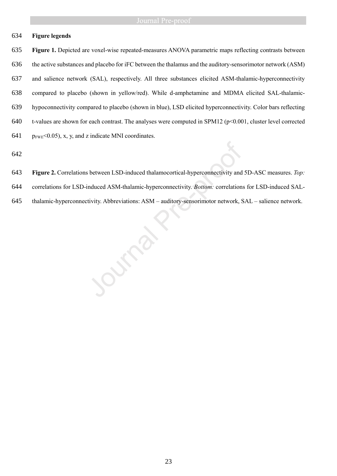# **Figure legends**

 **Figure 1.** Depicted are voxel-wise repeated-measures ANOVA parametric maps reflecting contrasts between the active substances and placebo for iFC between the thalamus and the auditory-sensorimotor network (ASM) and salience network (SAL), respectively. All three substances elicited ASM-thalamic-hyperconnectivity compared to placebo (shown in yellow/red). While d-amphetamine and MDMA elicited SAL-thalamic- hypoconnectivity compared to placebo (shown in blue), LSD elicited hyperconnectivity. Color bars reflecting 640 t-values are shown for each contrast. The analyses were computed in SPM12 ( $p<0.001$ , cluster level corrected  $p_{FWE}$ <0.05), x, y, and z indicate MNI coordinates.

- **Figure 2.** Correlations between LSD-induced thalamocortical-hyperconnectivity and 5D-ASC measures. *Top:*
- correlations for LSD-induced ASM-thalamic-hyperconnectivity. *Bottom:* correlations for LSD-induced SAL-**Figure 2.** Correlations between LSD-induced thalamocortical-hyperconnectivity and 5D-ASC measures. To correlations: for LSD-induced ASM-thalamic-hyperconnectivity. *Bottom:* correlations: for LSD-induced SAL thalamic-
-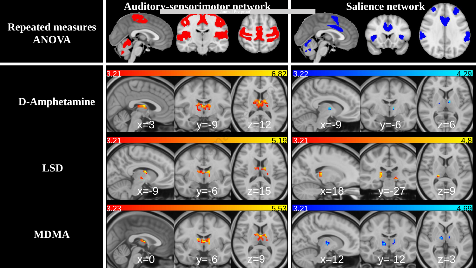